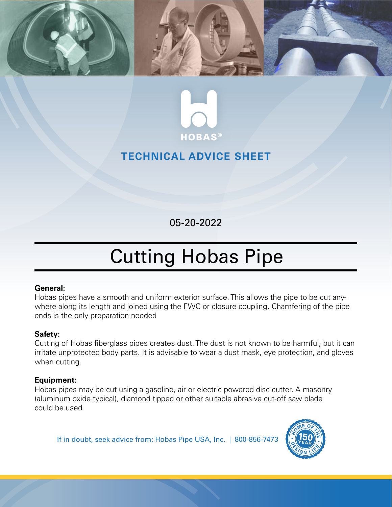



# **TECHNICAL ADVICE SHEET**

05-20-2022

# Cutting Hobas Pipe

#### **General:**

Hobas pipes have a smooth and uniform exterior surface. This allows the pipe to be cut anywhere along its length and joined using the FWC or closure coupling. Chamfering of the pipe ends is the only preparation needed

# **Safety:**

Cutting of Hobas fiberglass pipes creates dust. The dust is not known to be harmful, but it can irritate unprotected body parts. It is advisable to wear a dust mask, eye protection, and gloves when cutting.

## **Equipment:**

Hobas pipes may be cut using a gasoline, air or electric powered disc cutter. A masonry (aluminum oxide typical), diamond tipped or other suitable abrasive cut-off saw blade could be used.

If in doubt, seek advice from: Hobas Pipe USA, Inc. | 800-856-7473